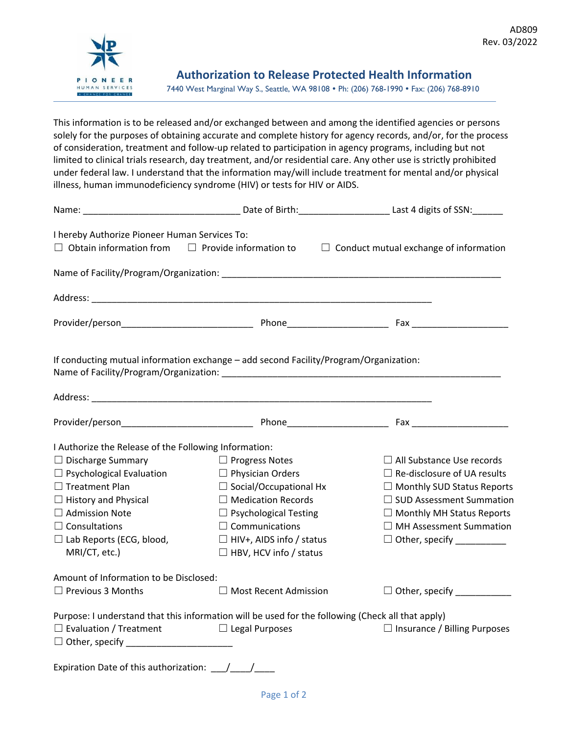

 **Authorization to Release Protected Health Information** 7440 West Marginal Way S., Seattle, WA 98108 . Ph: (206) 768-1990 . Fax: (206) 768-8910

This information is to be released and/or exchanged between and among the identified agencies or persons solely for the purposes of obtaining accurate and complete history for agency records, and/or, for the process of consideration, treatment and follow-up related to participation in agency programs, including but not limited to clinical trials research, day treatment, and/or residential care. Any other use is strictly prohibited under federal law. I understand that the information may/will include treatment for mental and/or physical illness, human immunodeficiency syndrome (HIV) or tests for HIV or AIDS.

| I hereby Authorize Pioneer Human Services To:<br>$\Box$ Obtain information from $\Box$ Provide information to |                                                                                                                                                                                                           | $\Box$ Conduct mutual exchange of information |
|---------------------------------------------------------------------------------------------------------------|-----------------------------------------------------------------------------------------------------------------------------------------------------------------------------------------------------------|-----------------------------------------------|
|                                                                                                               |                                                                                                                                                                                                           |                                               |
|                                                                                                               | Address: Address: Address: Address: Address: Address: Address: Address: Address: Address: Address: A                                                                                                      |                                               |
|                                                                                                               |                                                                                                                                                                                                           |                                               |
|                                                                                                               | If conducting mutual information exchange - add second Facility/Program/Organization:<br>Name of Facility/Program/Organization: Name of Table 1999 and the Control of Table 1999 and the Control of Table |                                               |
|                                                                                                               |                                                                                                                                                                                                           |                                               |
| I Authorize the Release of the Following Information:                                                         |                                                                                                                                                                                                           |                                               |
| $\Box$ Discharge Summary                                                                                      | $\Box$ Progress Notes                                                                                                                                                                                     | $\Box$ All Substance Use records              |
| $\Box$ Psychological Evaluation                                                                               | $\Box$ Physician Orders                                                                                                                                                                                   | $\Box$ Re-disclosure of UA results            |
| $\Box$ Treatment Plan                                                                                         | $\Box$ Social/Occupational Hx                                                                                                                                                                             | $\Box$ Monthly SUD Status Reports             |
| $\Box$ History and Physical                                                                                   | $\Box$ Medication Records                                                                                                                                                                                 | $\Box$ SUD Assessment Summation               |
| $\Box$ Admission Note                                                                                         | $\Box$ Psychological Testing                                                                                                                                                                              | $\Box$ Monthly MH Status Reports              |
| $\Box$ Consultations                                                                                          | $\Box$ Communications                                                                                                                                                                                     | $\Box$ MH Assessment Summation                |
| $\Box$ Lab Reports (ECG, blood,                                                                               | $\Box$ HIV+, AIDS info / status                                                                                                                                                                           | $\Box$ Other, specify __________              |
| MRI/CT, etc.)                                                                                                 | $\Box$ HBV, HCV info / status                                                                                                                                                                             |                                               |
| Amount of Information to be Disclosed:                                                                        |                                                                                                                                                                                                           |                                               |
| $\Box$ Previous 3 Months                                                                                      | $\Box$ Most Recent Admission                                                                                                                                                                              | □ Other, specify __________                   |
|                                                                                                               | Purpose: I understand that this information will be used for the following (Check all that apply)                                                                                                         |                                               |
| $\Box$ Evaluation / Treatment                                                                                 | $\Box$ Legal Purposes                                                                                                                                                                                     | $\Box$ Insurance / Billing Purposes           |
|                                                                                                               |                                                                                                                                                                                                           |                                               |